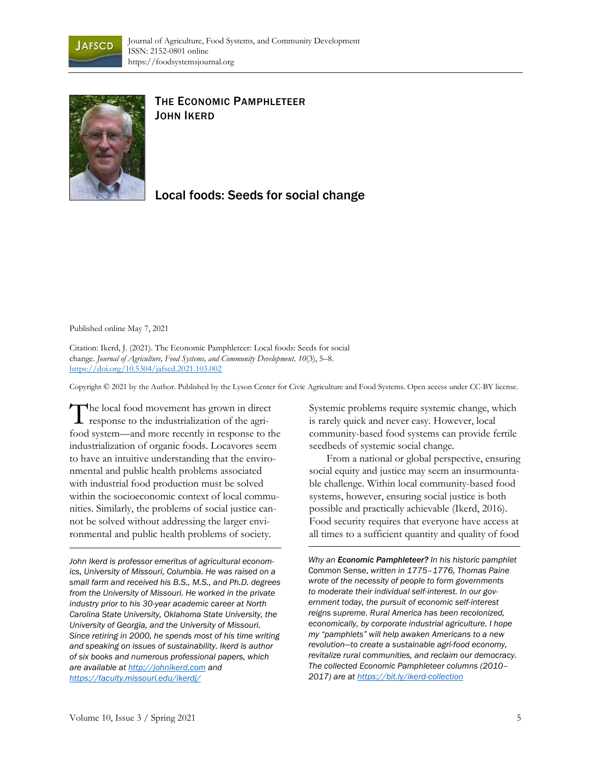



## THE ECONOMIC PAMPHLETEER JOHN IKERD

Local foods: Seeds for social change

Published online May 7, 2021

Citation: Ikerd, J. (2021). The Economic Pamphleteer: Local foods: Seeds for social change. *Journal of Agriculture, Food Systems, and Community Development, 10*(3), 5–8. https://doi.org/10.5304/jafscd.2021.103.002

Copyright © 2021 by the Author. Published by the Lyson Center for Civic Agriculture and Food Systems. Open access under CC-BY license.

he local food movement has grown in direct The local food movement has grown in direction of the agrifood system—and more recently in response to the industrialization of organic foods. Locavores seem to have an intuitive understanding that the environmental and public health problems associated with industrial food production must be solved within the socioeconomic context of local communities. Similarly, the problems of social justice cannot be solved without addressing the larger environmental and public health problems of society.

*John Ikerd is professor emeritus of agricultural economics, University of Missouri, Columbia. He was raised on a small farm and received his B.S., M.S., and Ph.D. degrees from the University of Missouri. He worked in the private industry prior to his 30-year academic career at North Carolina State University, Oklahoma State University, the University of Georgia, and the University of Missouri. Since retiring in 2000, he spends most of his time writing and speaking on issues of sustainability. Ikerd is author of six books and numerous professional papers, which are available at http://johnikerd.com and https://faculty.missouri.edu/ikerdj/*

Systemic problems require systemic change, which is rarely quick and never easy. However, local community-based food systems can provide fertile seedbeds of systemic social change.

From a national or global perspective, ensuring social equity and justice may seem an insurmountable challenge. Within local community-based food systems, however, ensuring social justice is both possible and practically achievable (Ikerd, 2016). Food security requires that everyone have access at all times to a sufficient quantity and quality of food

*Why an Economic Pamphleteer? In his historic pamphlet*  Common Sense, *written in 1775–1776, Thomas Paine wrote of the necessity of people to form governments to moderate their individual self-interest. In our government today, the pursuit of economic self-interest reigns supreme. Rural America has been recolonized, economically, by corporate industrial agriculture. I hope my "pamphlets" will help awaken Americans to a new revolution—to create a sustainable agri-food economy, revitalize rural communities, and reclaim our democracy. The collected Economic Pamphleteer columns (2010– 2017) are at https://bit.ly/ikerd-collection*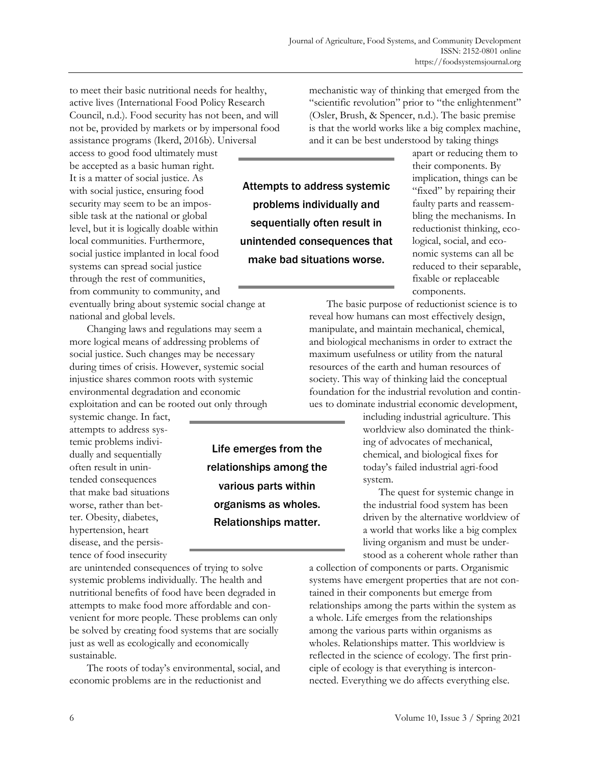to meet their basic nutritional needs for healthy, active lives (International Food Policy Research Council, n.d.). Food security has not been, and will not be, provided by markets or by impersonal food assistance programs (Ikerd, 2016b). Universal

access to good food ultimately must be accepted as a basic human right. It is a matter of social justice. As with social justice, ensuring food security may seem to be an impossible task at the national or global level, but it is logically doable within local communities. Furthermore, social justice implanted in local food systems can spread social justice through the rest of communities, from community to community, and

eventually bring about systemic social change at national and global levels.

Changing laws and regulations may seem a more logical means of addressing problems of social justice. Such changes may be necessary during times of crisis. However, systemic social injustice shares common roots with systemic environmental degradation and economic exploitation and can be rooted out only through

systemic change. In fact, attempts to address systemic problems individually and sequentially often result in unintended consequences that make bad situations worse, rather than better. Obesity, diabetes, hypertension, heart disease, and the persistence of food insecurity

are unintended consequences of trying to solve systemic problems individually. The health and nutritional benefits of food have been degraded in attempts to make food more affordable and convenient for more people. These problems can only be solved by creating food systems that are socially just as well as ecologically and economically sustainable.

The roots of today's environmental, social, and economic problems are in the reductionist and

mechanistic way of thinking that emerged from the "scientific revolution" prior to "the enlightenment" (Osler, Brush, & Spencer, n.d.). The basic premise is that the world works like a big complex machine, and it can be best understood by taking things

Attempts to address systemic problems individually and sequentially often result in unintended consequences that make bad situations worse.

Life emerges from the relationships among the various parts within organisms as wholes. Relationships matter.

apart or reducing them to their components. By implication, things can be "fixed" by repairing their faulty parts and reassembling the mechanisms. In reductionist thinking, ecological, social, and economic systems can all be reduced to their separable, fixable or replaceable components.

The basic purpose of reductionist science is to reveal how humans can most effectively design, manipulate, and maintain mechanical, chemical, and biological mechanisms in order to extract the maximum usefulness or utility from the natural resources of the earth and human resources of society. This way of thinking laid the conceptual foundation for the industrial revolution and continues to dominate industrial economic development,

including industrial agriculture. This worldview also dominated the thinking of advocates of mechanical, chemical, and biological fixes for today's failed industrial agri-food system.

The quest for systemic change in the industrial food system has been driven by the alternative worldview of a world that works like a big complex living organism and must be understood as a coherent whole rather than

a collection of components or parts. Organismic systems have emergent properties that are not contained in their components but emerge from relationships among the parts within the system as a whole. Life emerges from the relationships among the various parts within organisms as wholes. Relationships matter. This worldview is reflected in the science of ecology. The first principle of ecology is that everything is interconnected. Everything we do affects everything else.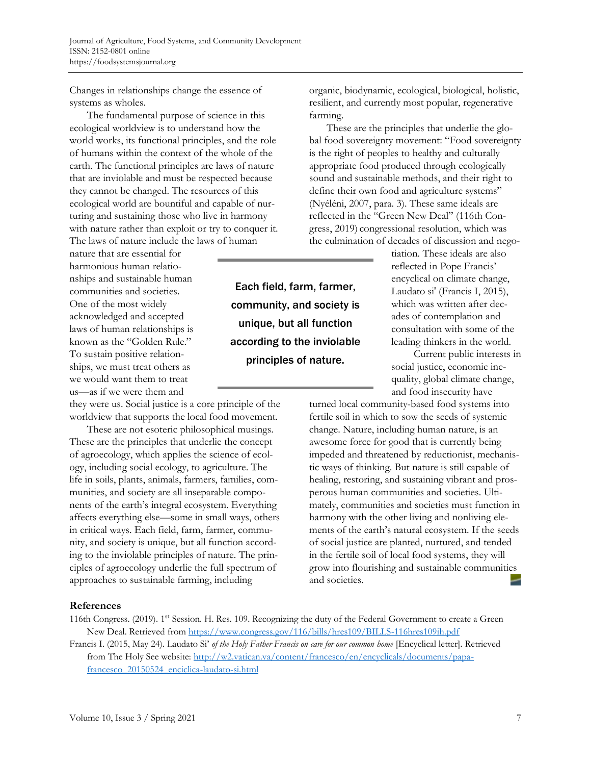Changes in relationships change the essence of systems as wholes.

The fundamental purpose of science in this ecological worldview is to understand how the world works, its functional principles, and the role of humans within the context of the whole of the earth. The functional principles are laws of nature that are inviolable and must be respected because they cannot be changed. The resources of this ecological world are bountiful and capable of nurturing and sustaining those who live in harmony with nature rather than exploit or try to conquer it. The laws of nature include the laws of human

nature that are essential for harmonious human relationships and sustainable human communities and societies. One of the most widely acknowledged and accepted laws of human relationships is known as the "Golden Rule." To sustain positive relationships, we must treat others as we would want them to treat us—as if we were them and

they were us. Social justice is a core principle of the worldview that supports the local food movement.

These are not esoteric philosophical musings. These are the principles that underlie the concept of agroecology, which applies the science of ecology, including social ecology, to agriculture. The life in soils, plants, animals, farmers, families, communities, and society are all inseparable components of the earth's integral ecosystem. Everything affects everything else—some in small ways, others in critical ways. Each field, farm, farmer, community, and society is unique, but all function according to the inviolable principles of nature. The principles of agroecology underlie the full spectrum of approaches to sustainable farming, including

Each field, farm, farmer, community, and society is unique, but all function according to the inviolable principles of nature.

organic, biodynamic, ecological, biological, holistic, resilient, and currently most popular, regenerative farming.

These are the principles that underlie the global food sovereignty movement: "Food sovereignty is the right of peoples to healthy and culturally appropriate food produced through ecologically sound and sustainable methods, and their right to define their own food and agriculture systems" (Nyéléni, 2007, para. 3). These same ideals are reflected in the "Green New Deal" (116th Congress, 2019) congressional resolution, which was the culmination of decades of discussion and nego-

tiation. These ideals are also reflected in Pope Francis' encyclical on climate change, Laudato si' (Francis I, 2015), which was written after decades of contemplation and consultation with some of the leading thinkers in the world.

Current public interests in social justice, economic inequality, global climate change, and food insecurity have

turned local community-based food systems into fertile soil in which to sow the seeds of systemic change. Nature, including human nature, is an awesome force for good that is currently being impeded and threatened by reductionist, mechanistic ways of thinking. But nature is still capable of healing, restoring, and sustaining vibrant and prosperous human communities and societies. Ultimately, communities and societies must function in harmony with the other living and nonliving elements of the earth's natural ecosystem. If the seeds of social justice are planted, nurtured, and tended in the fertile soil of local food systems, they will grow into flourishing and sustainable communities and societies.

## **References**

116th Congress. (2019). 1st Session. H. Res. 109. Recognizing the duty of the Federal Government to create a Green New Deal. Retrieved from https://www.congress.gov/116/bills/hres109/BILLS-116hres109ih.pdf

Francis I. (2015, May 24). Laudato Si' *of the Holy Father Francis on care for our common home* [Encyclical letter]. Retrieved [from The Holy See website: http://w2.vatican.va/content/francesco/en/encyclicals/documents/papa](http://w2.vatican.va/content/francesco/en/encyclicals/documents/papa-francesco_20150524_enciclica-laudato-si.html)francesco\_20150524\_enciclica-laudato-si.html